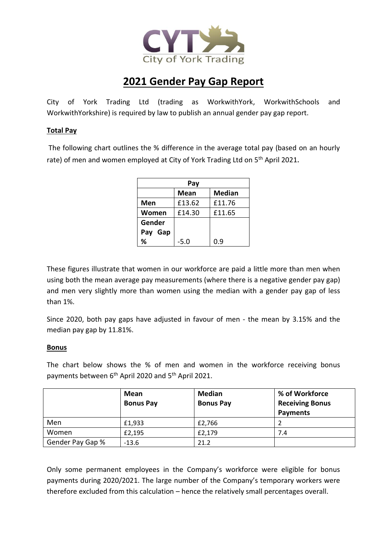

# **2021 Gender Pay Gap Report**

City of York Trading Ltd (trading as WorkwithYork, WorkwithSchools and WorkwithYorkshire) is required by law to publish an annual gender pay gap report.

### **Total Pay**

The following chart outlines the % difference in the average total pay (based on an hourly rate) of men and women employed at City of York Trading Ltd on 5<sup>th</sup> April 2021.

| Pay     |             |               |  |
|---------|-------------|---------------|--|
|         | <b>Mean</b> | <b>Median</b> |  |
| Men     | £13.62      | £11.76        |  |
| Women   | £14.30      | £11.65        |  |
| Gender  |             |               |  |
| Pay Gap |             |               |  |
| %       | -5.0        | 0.ዓ           |  |

These figures illustrate that women in our workforce are paid a little more than men when using both the mean average pay measurements (where there is a negative gender pay gap) and men very slightly more than women using the median with a gender pay gap of less than 1%.

Since 2020, both pay gaps have adjusted in favour of men - the mean by 3.15% and the median pay gap by 11.81%.

#### **Bonus**

The chart below shows the % of men and women in the workforce receiving bonus payments between 6<sup>th</sup> April 2020 and 5<sup>th</sup> April 2021.

|                  | Mean<br><b>Bonus Pay</b> | <b>Median</b><br><b>Bonus Pay</b> | % of Workforce<br><b>Receiving Bonus</b><br><b>Payments</b> |
|------------------|--------------------------|-----------------------------------|-------------------------------------------------------------|
| Men              | £1.933                   | £2,766                            |                                                             |
| Women            | £2,195                   | £2,179                            | 7.4                                                         |
| Gender Pay Gap % | $-13.6$                  | 21.2                              |                                                             |

Only some permanent employees in the Company's workforce were eligible for bonus payments during 2020/2021. The large number of the Company's temporary workers were therefore excluded from this calculation – hence the relatively small percentages overall.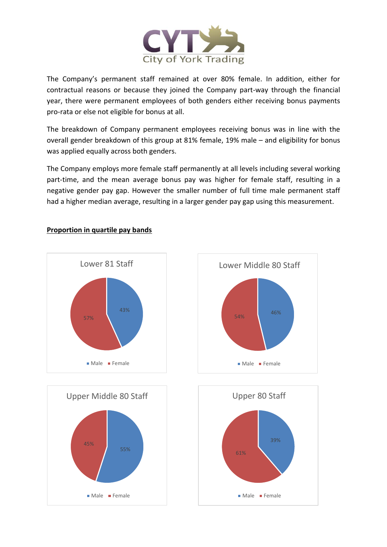

The Company's permanent staff remained at over 80% female. In addition, either for contractual reasons or because they joined the Company part-way through the financial year, there were permanent employees of both genders either receiving bonus payments pro-rata or else not eligible for bonus at all.

The breakdown of Company permanent employees receiving bonus was in line with the overall gender breakdown of this group at 81% female, 19% male – and eligibility for bonus was applied equally across both genders.

The Company employs more female staff permanently at all levels including several working part-time, and the mean average bonus pay was higher for female staff, resulting in a negative gender pay gap. However the smaller number of full time male permanent staff had a higher median average, resulting in a larger gender pay gap using this measurement.



## **Proportion in quartile pay bands**